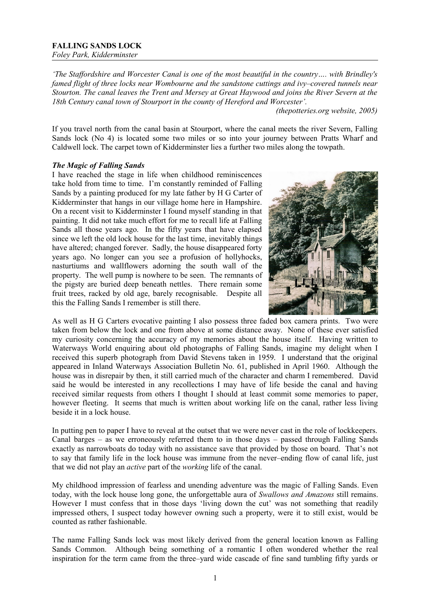*'The Staffordshire and Worcester Canal is one of the most beautiful in the country…. with Brindley's famed flight of three locks near Wombourne and the sandstone cuttings and ivy–covered tunnels near Stourton. The canal leaves the Trent and Mersey at Great Haywood and joins the River Severn at the 18th Century canal town of Stourport in the county of Hereford and Worcester'.* 

*(thepotteries.org website, 2005)*

If you travel north from the canal basin at Stourport, where the canal meets the river Severn, Falling Sands lock (No 4) is located some two miles or so into your journey between Pratts Wharf and Caldwell lock. The carpet town of Kidderminster lies a further two miles along the towpath.

# *The Magic of Falling Sands*

I have reached the stage in life when childhood reminiscences take hold from time to time. I'm constantly reminded of Falling Sands by a painting produced for my late father by H G Carter of Kidderminster that hangs in our village home here in Hampshire. On a recent visit to Kidderminster I found myself standing in that painting. It did not take much effort for me to recall life at Falling Sands all those years ago. In the fifty years that have elapsed since we left the old lock house for the last time, inevitably things have altered; changed forever. Sadly, the house disappeared forty years ago. No longer can you see a profusion of hollyhocks, nasturtiums and wallflowers adorning the south wall of the property. The well pump is nowhere to be seen. The remnants of the pigsty are buried deep beneath nettles. There remain some fruit trees, racked by old age, barely recognisable. Despite all this the Falling Sands I remember is still there.



As well as H G Carters evocative painting I also possess three faded box camera prints. Two were taken from below the lock and one from above at some distance away. None of these ever satisfied my curiosity concerning the accuracy of my memories about the house itself. Having written to Waterways World enquiring about old photographs of Falling Sands, imagine my delight when I received this superb photograph from David Stevens taken in 1959. I understand that the original appeared in Inland Waterways Association Bulletin No. 61, published in April 1960. Although the house was in disrepair by then, it still carried much of the character and charm I remembered. David said he would be interested in any recollections I may have of life beside the canal and having received similar requests from others I thought I should at least commit some memories to paper, however fleeting. It seems that much is written about working life on the canal, rather less living beside it in a lock house.

In putting pen to paper I have to reveal at the outset that we were never cast in the role of lockkeepers. Canal barges – as we erroneously referred them to in those days – passed through Falling Sands exactly as narrowboats do today with no assistance save that provided by those on board. That's not to say that family life in the lock house was immune from the never–ending flow of canal life, just that we did not play an *active* part of the *working* life of the canal.

My childhood impression of fearless and unending adventure was the magic of Falling Sands. Even today, with the lock house long gone, the unforgettable aura of *Swallows and Amazons* still remains. However I must confess that in those days 'living down the cut' was not something that readily impressed others, I suspect today however owning such a property, were it to still exist, would be counted as rather fashionable.

The name Falling Sands lock was most likely derived from the general location known as Falling Sands Common. Although being something of a romantic I often wondered whether the real inspiration for the term came from the three–yard wide cascade of fine sand tumbling fifty yards or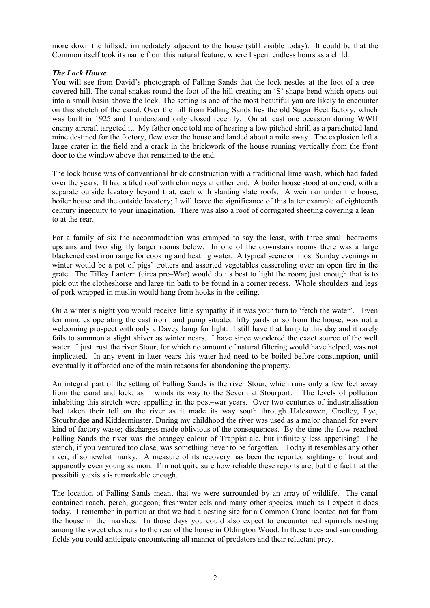more down the hillside immediately adjacent to the house (still visible today). It could be that the Common itself took its name from this natural feature, where I spent endless hours as a child.

## *The Lock House*

You will see from David's photograph of Falling Sands that the lock nestles at the foot of a tree– covered hill. The canal snakes round the foot of the hill creating an 'S' shape bend which opens out into a small basin above the lock. The setting is one of the most beautiful you are likely to encounter on this stretch of the canal. Over the hill from Falling Sands lies the old Sugar Beet factory, which was built in 1925 and I understand only closed recently. On at least one occasion during WWII enemy aircraft targeted it. My father once told me of hearing a low pitched shrill as a parachuted land mine destined for the factory, flew over the house and landed about a mile away. The explosion left a large crater in the field and a crack in the brickwork of the house running vertically from the front door to the window above that remained to the end.

The lock house was of conventional brick construction with a traditional lime wash, which had faded over the years. It had a tiled roof with chimneys at either end. A boiler house stood at one end, with a separate outside lavatory beyond that, each with slanting slate roofs. A weir ran under the house, boiler house and the outside lavatory; I will leave the significance of this latter example of eighteenth century ingenuity to your imagination. There was also a roof of corrugated sheeting covering a lean– to at the rear.

For a family of six the accommodation was cramped to say the least, with three small bedrooms upstairs and two slightly larger rooms below. In one of the downstairs rooms there was a large blackened cast iron range for cooking and heating water. A typical scene on most Sunday evenings in winter would be a pot of pigs' trotters and assorted vegetables casseroling over an open fire in the grate. The Tilley Lantern (circa pre–War) would do its best to light the room; just enough that is to pick out the clotheshorse and large tin bath to be found in a corner recess. Whole shoulders and legs of pork wrapped in muslin would hang from hooks in the ceiling.

On a winter's night you would receive little sympathy if it was your turn to 'fetch the water'. Even ten minutes operating the cast iron hand pump situated fifty yards or so from the house, was not a welcoming prospect with only a Davey lamp for light. I still have that lamp to this day and it rarely fails to summon a slight shiver as winter nears. I have since wondered the exact source of the well water. I just trust the river Stour, for which no amount of natural filtering would have helped, was not implicated. In any event in later years this water had need to be boiled before consumption, until eventually it afforded one of the main reasons for abandoning the property.

An integral part of the setting of Falling Sands is the river Stour, which runs only a few feet away from the canal and lock, as it winds its way to the Severn at Stourport. The levels of pollution inhabiting this stretch were appalling in the post–war years. Over two centuries of industrialisation had taken their toll on the river as it made its way south through Halesowen, Cradley, Lye, Stourbridge and Kidderminster. During my childhood the river was used as a major channel for every kind of factory waste; discharges made oblivious of the consequences. By the time the flow reached Falling Sands the river was the orangey colour of Trappist ale, but infinitely less appetising! The stench, if you ventured too close, was something never to be forgotten. Today it resembles any other river, if somewhat murky. A measure of its recovery has been the reported sightings of trout and apparently even young salmon. I'm not quite sure how reliable these reports are, but the fact that the possibility exists is remarkable enough.

The location of Falling Sands meant that we were surrounded by an array of wildlife. The canal contained roach, perch, gudgeon, freshwater eels and many other species, much as I expect it does today. I remember in particular that we had a nesting site for a Common Crane located not far from the house in the marshes. In those days you could also expect to encounter red squirrels nesting among the sweet chestnuts to the rear of the house in Oldington Wood. In these trees and surrounding fields you could anticipate encountering all manner of predators and their reluctant prey.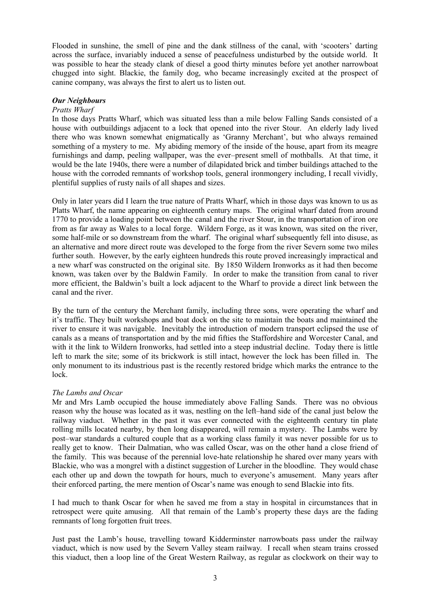Flooded in sunshine, the smell of pine and the dank stillness of the canal, with 'scooters' darting across the surface, invariably induced a sense of peacefulness undisturbed by the outside world. It was possible to hear the steady clank of diesel a good thirty minutes before yet another narrowboat chugged into sight. Blackie, the family dog, who became increasingly excited at the prospect of canine company, was always the first to alert us to listen out.

### *Our Neighbours*

#### *Pratts Wharf*

In those days Pratts Wharf, which was situated less than a mile below Falling Sands consisted of a house with outbuildings adjacent to a lock that opened into the river Stour. An elderly lady lived there who was known somewhat enigmatically as 'Granny Merchant', but who always remained something of a mystery to me. My abiding memory of the inside of the house, apart from its meagre furnishings and damp, peeling wallpaper, was the ever–present smell of mothballs. At that time, it would be the late 1940s, there were a number of dilapidated brick and timber buildings attached to the house with the corroded remnants of workshop tools, general ironmongery including, I recall vividly, plentiful supplies of rusty nails of all shapes and sizes.

Only in later years did I learn the true nature of Pratts Wharf, which in those days was known to us as Platts Wharf, the name appearing on eighteenth century maps. The original wharf dated from around 1770 to provide a loading point between the canal and the river Stour, in the transportation of iron ore from as far away as Wales to a local forge. Wildern Forge, as it was known, was sited on the river, some half-mile or so downstream from the wharf. The original wharf subsequently fell into disuse, as an alternative and more direct route was developed to the forge from the river Severn some two miles further south. However, by the early eighteen hundreds this route proved increasingly impractical and a new wharf was constructed on the original site. By 1850 Wildern Ironworks as it had then become known, was taken over by the Baldwin Family. In order to make the transition from canal to river more efficient, the Baldwin's built a lock adjacent to the Wharf to provide a direct link between the canal and the river.

By the turn of the century the Merchant family, including three sons, were operating the wharf and it's traffic. They built workshops and boat dock on the site to maintain the boats and maintained the river to ensure it was navigable. Inevitably the introduction of modern transport eclipsed the use of canals as a means of transportation and by the mid fifties the Staffordshire and Worcester Canal, and with it the link to Wildern Ironworks, had settled into a steep industrial decline. Today there is little left to mark the site; some of its brickwork is still intact, however the lock has been filled in. The only monument to its industrious past is the recently restored bridge which marks the entrance to the lock.

## *The Lambs and Oscar*

Mr and Mrs Lamb occupied the house immediately above Falling Sands. There was no obvious reason why the house was located as it was, nestling on the left–hand side of the canal just below the railway viaduct. Whether in the past it was ever connected with the eighteenth century tin plate rolling mills located nearby, by then long disappeared, will remain a mystery. The Lambs were by post–war standards a cultured couple that as a working class family it was never possible for us to really get to know. Their Dalmatian, who was called Oscar, was on the other hand a close friend of the family. This was because of the perennial love-hate relationship he shared over many years with Blackie, who was a mongrel with a distinct suggestion of Lurcher in the bloodline. They would chase each other up and down the towpath for hours, much to everyone's amusement. Many years after their enforced parting, the mere mention of Oscar's name was enough to send Blackie into fits.

I had much to thank Oscar for when he saved me from a stay in hospital in circumstances that in retrospect were quite amusing. All that remain of the Lamb's property these days are the fading remnants of long forgotten fruit trees.

Just past the Lamb's house, travelling toward Kidderminster narrowboats pass under the railway viaduct, which is now used by the Severn Valley steam railway. I recall when steam trains crossed this viaduct, then a loop line of the Great Western Railway, as regular as clockwork on their way to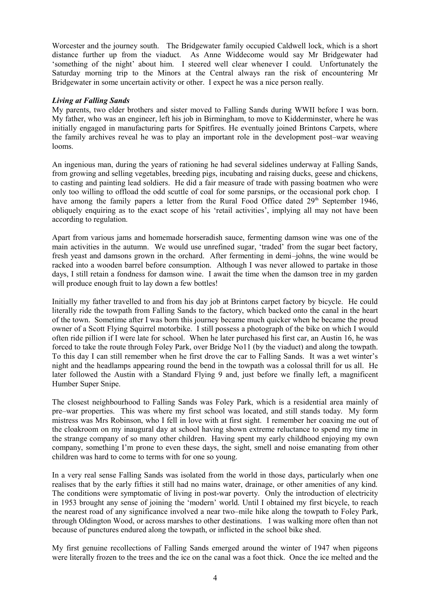Worcester and the journey south. The Bridgewater family occupied Caldwell lock, which is a short distance further up from the viaduct. As Anne Widdecome would say Mr Bridgewater had 'something of the night' about him. I steered well clear whenever I could. Unfortunately the Saturday morning trip to the Minors at the Central always ran the risk of encountering Mr Bridgewater in some uncertain activity or other. I expect he was a nice person really.

### *Living at Falling Sands*

My parents, two elder brothers and sister moved to Falling Sands during WWII before I was born. My father, who was an engineer, left his job in Birmingham, to move to Kidderminster, where he was initially engaged in manufacturing parts for Spitfires. He eventually joined Brintons Carpets, where the family archives reveal he was to play an important role in the development post–war weaving looms.

An ingenious man, during the years of rationing he had several sidelines underway at Falling Sands, from growing and selling vegetables, breeding pigs, incubating and raising ducks, geese and chickens, to casting and painting lead soldiers. He did a fair measure of trade with passing boatmen who were only too willing to offload the odd scuttle of coal for some parsnips, or the occasional pork chop. I have among the family papers a letter from the Rural Food Office dated  $29<sup>th</sup>$  September 1946. obliquely enquiring as to the exact scope of his 'retail activities', implying all may not have been according to regulation.

Apart from various jams and homemade horseradish sauce, fermenting damson wine was one of the main activities in the autumn. We would use unrefined sugar, 'traded' from the sugar beet factory, fresh yeast and damsons grown in the orchard. After fermenting in demi–johns, the wine would be racked into a wooden barrel before consumption. Although I was never allowed to partake in those days, I still retain a fondness for damson wine. I await the time when the damson tree in my garden will produce enough fruit to lay down a few bottles!

Initially my father travelled to and from his day job at Brintons carpet factory by bicycle. He could literally ride the towpath from Falling Sands to the factory, which backed onto the canal in the heart of the town. Sometime after I was born this journey became much quicker when he became the proud owner of a Scott Flying Squirrel motorbike. I still possess a photograph of the bike on which I would often ride pillion if I were late for school. When he later purchased his first car, an Austin 16, he was forced to take the route through Foley Park, over Bridge No11 (by the viaduct) and along the towpath. To this day I can still remember when he first drove the car to Falling Sands. It was a wet winter's night and the headlamps appearing round the bend in the towpath was a colossal thrill for us all. He later followed the Austin with a Standard Flying 9 and, just before we finally left, a magnificent Humber Super Snipe.

The closest neighbourhood to Falling Sands was Foley Park, which is a residential area mainly of pre–war properties. This was where my first school was located, and still stands today. My form mistress was Mrs Robinson, who I fell in love with at first sight. I remember her coaxing me out of the cloakroom on my inaugural day at school having shown extreme reluctance to spend my time in the strange company of so many other children. Having spent my early childhood enjoying my own company, something I'm prone to even these days, the sight, smell and noise emanating from other children was hard to come to terms with for one so young.

In a very real sense Falling Sands was isolated from the world in those days, particularly when one realises that by the early fifties it still had no mains water, drainage, or other amenities of any kind. The conditions were symptomatic of living in post-war poverty. Only the introduction of electricity in 1953 brought any sense of joining the 'modern' world. Until I obtained my first bicycle, to reach the nearest road of any significance involved a near two–mile hike along the towpath to Foley Park, through Oldington Wood, or across marshes to other destinations. I was walking more often than not because of punctures endured along the towpath, or inflicted in the school bike shed.

My first genuine recollections of Falling Sands emerged around the winter of 1947 when pigeons were literally frozen to the trees and the ice on the canal was a foot thick. Once the ice melted and the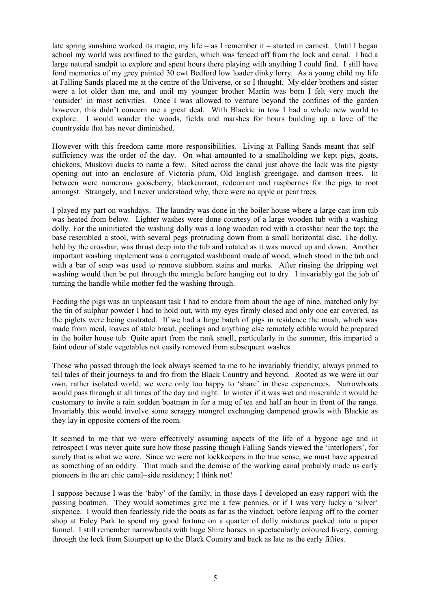late spring sunshine worked its magic, my life – as I remember it – started in earnest. Until I began school my world was confined to the garden, which was fenced off from the lock and canal. I had a large natural sandpit to explore and spent hours there playing with anything I could find. I still have fond memories of my grey painted 30 cwt Bedford low loader dinky lorry. As a young child my life at Falling Sands placed me at the centre of the Universe, or so I thought. My elder brothers and sister were a lot older than me, and until my younger brother Martin was born I felt very much the 'outsider' in most activities. Once I was allowed to venture beyond the confines of the garden however, this didn't concern me a great deal. With Blackie in tow I had a whole new world to explore. I would wander the woods, fields and marshes for hours building up a love of the countryside that has never diminished.

However with this freedom came more responsibilities. Living at Falling Sands meant that self– sufficiency was the order of the day. On what amounted to a smallholding we kept pigs, goats, chickens, Muskovi ducks to name a few. Sited across the canal just above the lock was the pigsty opening out into an enclosure of Victoria plum, Old English greengage, and damson trees. In between were numerous gooseberry, blackcurrant, redcurrant and raspberries for the pigs to root amongst. Strangely, and I never understood why, there were no apple or pear trees.

I played my part on washdays. The laundry was done in the boiler house where a large cast iron tub was heated from below. Lighter washes were done courtesy of a large wooden tub with a washing dolly. For the uninitiated the washing dolly was a long wooden rod with a crossbar near the top; the base resembled a stool, with several pegs protruding down from a small horizontal disc. The dolly, held by the crossbar, was thrust deep into the tub and rotated as it was moved up and down. Another important washing implement was a corrugated washboard made of wood, which stood in the tub and with a bar of soap was used to remove stubborn stains and marks. After rinsing the dripping wet washing would then be put through the mangle before hanging out to dry. I invariably got the job of turning the handle while mother fed the washing through.

Feeding the pigs was an unpleasant task I had to endure from about the age of nine, matched only by the tin of sulphur powder I had to hold out, with my eyes firmly closed and only one ear covered, as the piglets were being castrated. If we had a large batch of pigs in residence the mash, which was made from meal, loaves of stale bread, peelings and anything else remotely edible would be prepared in the boiler house tub. Quite apart from the rank smell, particularly in the summer, this imparted a faint odour of stale vegetables not easily removed from subsequent washes.

Those who passed through the lock always seemed to me to be invariably friendly; always primed to tell tales of their journeys to and fro from the Black Country and beyond. Rooted as we were in our own, rather isolated world, we were only too happy to 'share' in these experiences. Narrowboats would pass through at all times of the day and night. In winter if it was wet and miserable it would be customary to invite a rain sodden boatman in for a mug of tea and half an hour in front of the range. Invariably this would involve some scraggy mongrel exchanging dampened growls with Blackie as they lay in opposite corners of the room.

It seemed to me that we were effectively assuming aspects of the life of a bygone age and in retrospect I was never quite sure how those passing though Falling Sands viewed the 'interlopers', for surely that is what we were. Since we were not lockkeepers in the true sense, we must have appeared as something of an oddity. That much said the demise of the working canal probably made us early pioneers in the art chic canal–side residency; I think not!

I suppose because I was the 'baby' of the family, in those days I developed an easy rapport with the passing boatmen. They would sometimes give me a few pennies, or if I was very lucky a 'silver' sixpence. I would then fearlessly ride the boats as far as the viaduct, before leaping off to the corner shop at Foley Park to spend my good fortune on a quarter of dolly mixtures packed into a paper funnel. I still remember narrowboats with huge Shire horses in spectacularly coloured livery, coming through the lock from Stourport up to the Black Country and back as late as the early fifties.